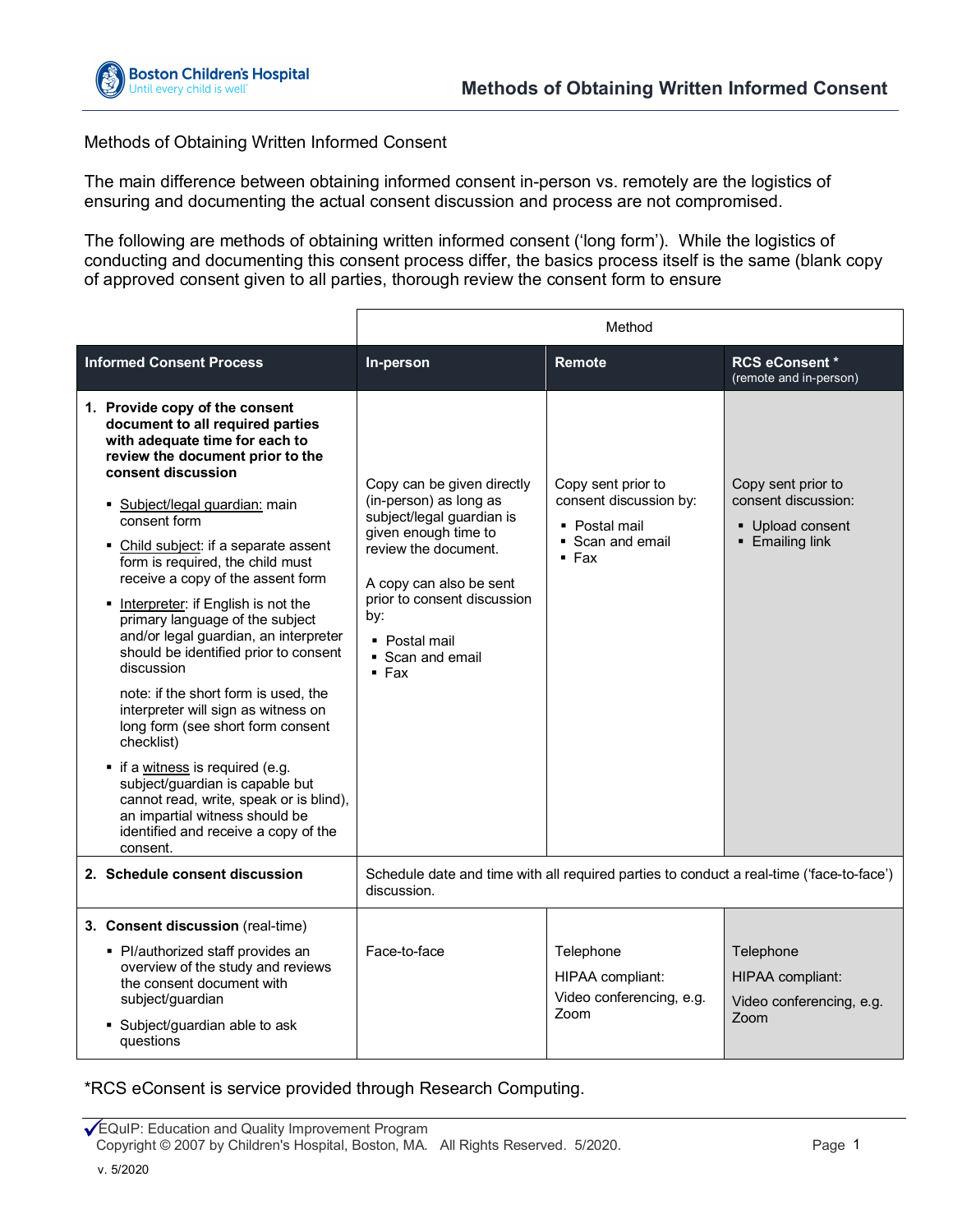

## Methods of Obtaining Written Informed Consent

The main difference between obtaining informed consent in-person vs. remotely are the logistics of ensuring and documenting the actual consent discussion and process are not compromised.

The following are methods of obtaining written informed consent ('long form'). While the logistics of conducting and documenting this consent process differ, the basics process itself is the same (blank copy of approved consent given to all parties, thorough review the consent form to ensure

|                                                                                                                                                                                                                                                                                                                                                                                                                                                                                                                                                                                                                                                                                                                                                                                                                                                       | Method                                                                                                                                                                                                                                             |                                                                                            |                                                                                  |
|-------------------------------------------------------------------------------------------------------------------------------------------------------------------------------------------------------------------------------------------------------------------------------------------------------------------------------------------------------------------------------------------------------------------------------------------------------------------------------------------------------------------------------------------------------------------------------------------------------------------------------------------------------------------------------------------------------------------------------------------------------------------------------------------------------------------------------------------------------|----------------------------------------------------------------------------------------------------------------------------------------------------------------------------------------------------------------------------------------------------|--------------------------------------------------------------------------------------------|----------------------------------------------------------------------------------|
| <b>Informed Consent Process</b>                                                                                                                                                                                                                                                                                                                                                                                                                                                                                                                                                                                                                                                                                                                                                                                                                       | In-person                                                                                                                                                                                                                                          | Remote                                                                                     | <b>RCS eConsent*</b><br>(remote and in-person)                                   |
| 1. Provide copy of the consent<br>document to all required parties<br>with adequate time for each to<br>review the document prior to the<br>consent discussion<br>Subject/legal guardian: main<br>consent form<br>• Child subject: if a separate assent<br>form is required, the child must<br>receive a copy of the assent form<br>• Interpreter: if English is not the<br>primary language of the subject<br>and/or legal guardian, an interpreter<br>should be identified prior to consent<br>discussion<br>note: if the short form is used, the<br>interpreter will sign as witness on<br>long form (see short form consent<br>checklist)<br>• if a witness is required (e.g.<br>subject/guardian is capable but<br>cannot read, write, speak or is blind),<br>an impartial witness should be<br>identified and receive a copy of the<br>consent. | Copy can be given directly<br>(in-person) as long as<br>subject/legal guardian is<br>given enough time to<br>review the document.<br>A copy can also be sent<br>prior to consent discussion<br>by:<br>• Postal mail<br>• Scan and email<br>$-$ Fax | Copy sent prior to<br>consent discussion by:<br>• Postal mail<br>• Scan and email<br>▪ Fax | Copy sent prior to<br>consent discussion:<br>• Upload consent<br>• Emailing link |
| 2. Schedule consent discussion                                                                                                                                                                                                                                                                                                                                                                                                                                                                                                                                                                                                                                                                                                                                                                                                                        | Schedule date and time with all required parties to conduct a real-time ('face-to-face')<br>discussion.                                                                                                                                            |                                                                                            |                                                                                  |
| 3. Consent discussion (real-time)<br>• Pl/authorized staff provides an<br>overview of the study and reviews<br>the consent document with<br>subject/guardian<br>• Subject/guardian able to ask<br>questions                                                                                                                                                                                                                                                                                                                                                                                                                                                                                                                                                                                                                                           | Face-to-face                                                                                                                                                                                                                                       | Telephone<br>HIPAA compliant:<br>Video conferencing, e.g.<br>Zoom                          | Telephone<br>HIPAA compliant:<br>Video conferencing, e.g.<br>$70$ cm             |

\*RCS eConsent is service provided through Research Computing.